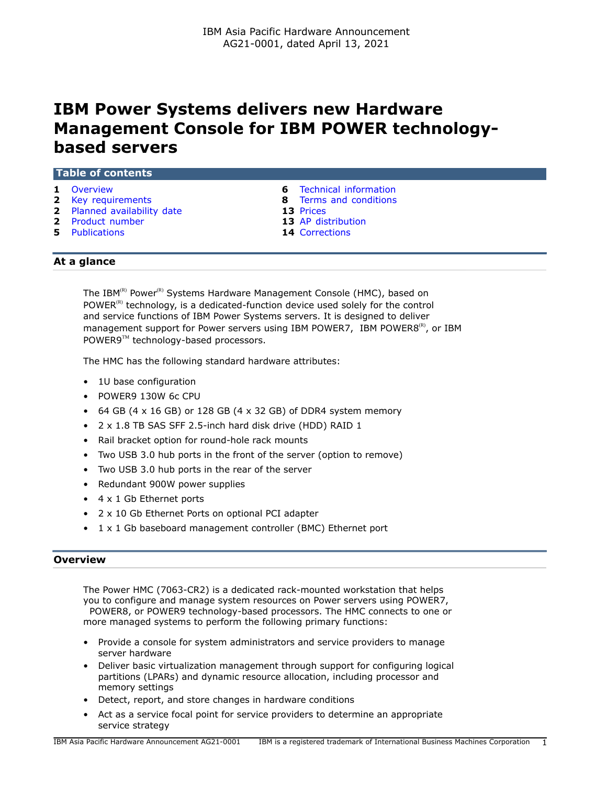# **IBM Power Systems delivers new Hardware Management Console for IBM POWER technologybased servers**

| <b>Table of contents</b>    |                                |  |
|-----------------------------|--------------------------------|--|
| 1 Overview                  | <b>6</b> Technical information |  |
| <b>2</b> Key requirements   | <b>8</b> Terms and conditions  |  |
| 2 Planned availability date | <b>13 Prices</b>               |  |
| <b>2</b> Product number     | <b>13</b> AP distribution      |  |

- 
- **5** [Publications](#page-4-0) **14** [Corrections](#page-13-0)

# **At a glance**

The IBM<sup>(R)</sup> Power<sup>(R)</sup> Systems Hardware Management Console (HMC), based on POWER $<sup>(R)</sup>$  technology, is a dedicated-function device used solely for the control</sup> and service functions of IBM Power Systems servers. It is designed to deliver management support for Power servers using IBM POWER7, IBM POWER8 $^{(R)}$ , or IBM POWER9™ technology-based processors.

The HMC has the following standard hardware attributes:

- 1U base configuration
- POWER9 130W 6c CPU
- 64 GB (4  $\times$  16 GB) or 128 GB (4  $\times$  32 GB) of DDR4 system memory
- 2 x 1.8 TB SAS SFF 2.5-inch hard disk drive (HDD) RAID 1
- Rail bracket option for round-hole rack mounts
- Two USB 3.0 hub ports in the front of the server (option to remove)
- Two USB 3.0 hub ports in the rear of the server
- Redundant 900W power supplies
- 4 x 1 Gb Ethernet ports
- 2 x 10 Gb Ethernet Ports on optional PCI adapter
- 1 x 1 Gb baseboard management controller (BMC) Ethernet port

#### <span id="page-0-0"></span>**Overview**

The Power HMC (7063-CR2) is a dedicated rack-mounted workstation that helps you to configure and manage system resources on Power servers using POWER7, POWER8, or POWER9 technology-based processors. The HMC connects to one or more managed systems to perform the following primary functions:

- Provide a console for system administrators and service providers to manage server hardware
- Deliver basic virtualization management through support for configuring logical partitions (LPARs) and dynamic resource allocation, including processor and memory settings
- Detect, report, and store changes in hardware conditions
- Act as a service focal point for service providers to determine an appropriate service strategy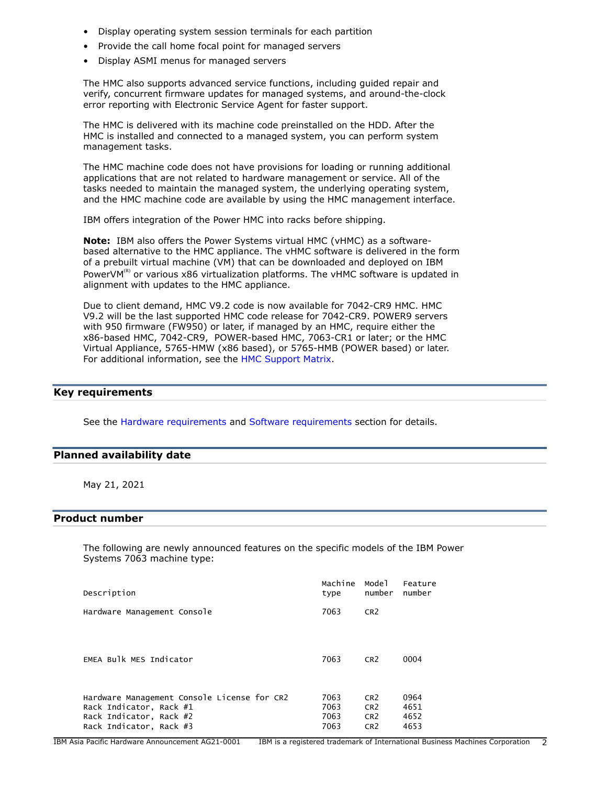- Display operating system session terminals for each partition
- Provide the call home focal point for managed servers
- Display ASMI menus for managed servers

The HMC also supports advanced service functions, including guided repair and verify, concurrent firmware updates for managed systems, and around-the-clock error reporting with Electronic Service Agent for faster support.

The HMC is delivered with its machine code preinstalled on the HDD. After the HMC is installed and connected to a managed system, you can perform system management tasks.

The HMC machine code does not have provisions for loading or running additional applications that are not related to hardware management or service. All of the tasks needed to maintain the managed system, the underlying operating system, and the HMC machine code are available by using the HMC management interface.

IBM offers integration of the Power HMC into racks before shipping.

**Note:** IBM also offers the Power Systems virtual HMC (vHMC) as a softwarebased alternative to the HMC appliance. The vHMC software is delivered in the form of a prebuilt virtual machine (VM) that can be downloaded and deployed on IBM PowerVM $<sup>(R)</sup>$  or various x86 virtualization platforms. The vHMC software is updated in</sup> alignment with updates to the HMC appliance.

Due to client demand, HMC V9.2 code is now available for 7042-CR9 HMC. HMC V9.2 will be the last supported HMC code release for 7042-CR9. POWER9 servers with 950 firmware (FW950) or later, if managed by an HMC, require either the x86-based HMC, 7042-CR9, POWER-based HMC, 7063-CR1 or later; or the HMC Virtual Appliance, 5765-HMW (x86 based), or 5765-HMB (POWER based) or later. For additional information, see the [HMC Support Matrix](https://www14.software.ibm.com/webapp/set2/flrt/sas?page=mtm-supported-hmc).

# <span id="page-1-0"></span>**Key requirements**

See the [Hardware requirements](#page-5-1) and [Software requirements](#page-6-0) section for details.

#### <span id="page-1-1"></span>**Planned availability date**

May 21, 2021

# <span id="page-1-2"></span>**Product number**

The following are newly announced features on the specific models of the IBM Power Systems 7063 machine type:

| Description                                 | Machine<br>type | Mode 1<br>number | Feature<br>number |
|---------------------------------------------|-----------------|------------------|-------------------|
| Hardware Management Console                 | 7063            | CR <sub>2</sub>  |                   |
|                                             |                 |                  |                   |
| EMEA Bulk MES Indicator                     | 7063            | CR <sub>2</sub>  | 0004              |
|                                             |                 |                  |                   |
| Hardware Management Console License for CR2 | 7063            | CR <sub>2</sub>  | 0964              |
| Rack Indicator, Rack #1                     | 7063            | CR <sub>2</sub>  | 4651              |
| Rack Indicator, Rack #2                     | 7063            | CR <sub>2</sub>  | 4652              |
| Rack Indicator, Rack #3                     | 7063            | CR <sub>2</sub>  | 4653              |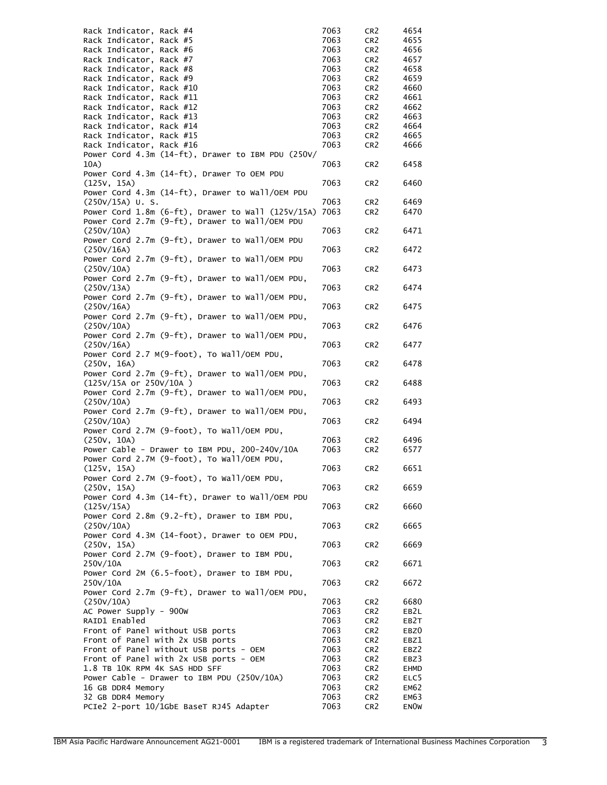| Rack Indicator, Rack #4                                   | 7063         | CR <sub>2</sub>                    | 4654         |
|-----------------------------------------------------------|--------------|------------------------------------|--------------|
| Rack Indicator, Rack #5                                   | 7063         | CR <sub>2</sub>                    | 4655         |
| Rack Indicator, Rack #6                                   | 7063         | CR <sub>2</sub>                    | 4656         |
| Rack Indicator, Rack #7                                   | 7063         | CR <sub>2</sub>                    | 4657         |
| Rack Indicator, Rack #8                                   | 7063         | CR <sub>2</sub>                    | 4658         |
| Rack Indicator, Rack #9                                   | 7063         | CR <sub>2</sub>                    | 4659         |
| Rack Indicator, Rack #10                                  | 7063         | CR <sub>2</sub>                    | 4660         |
| Rack Indicator, Rack #11<br>Rack Indicator, Rack #12      | 7063<br>7063 | CR <sub>2</sub>                    | 4661<br>4662 |
| Rack Indicator, Rack #13                                  | 7063         | CR <sub>2</sub><br>CR <sub>2</sub> | 4663         |
| Rack Indicator, Rack #14                                  | 7063         | CR <sub>2</sub>                    | 4664         |
| Rack Indicator, Rack #15                                  | 7063         | CR <sub>2</sub>                    | 4665         |
| Rack Indicator, Rack #16                                  | 7063         | CR <sub>2</sub>                    | 4666         |
| Power Cord 4.3m (14-ft), Drawer to IBM PDU (250V/         |              |                                    |              |
| 10A)                                                      | 7063         | CR <sub>2</sub>                    | 6458         |
| Power Cord 4.3m (14-ft), Drawer To OEM PDU                |              |                                    |              |
| (125V, 15A)                                               | 7063         | CR <sub>2</sub>                    | 6460         |
| Power Cord 4.3m (14-ft), Drawer to Wall/OEM PDU           |              |                                    |              |
| $(250V/15A)$ U.S.                                         | 7063         | CR <sub>2</sub>                    | 6469         |
| Power Cord 1.8m (6-ft), Drawer to Wall (125V/15A)         | 7063         | CR <sub>2</sub>                    | 6470         |
| Power Cord 2.7m (9-ft), Drawer to Wall/OEM PDU            |              |                                    |              |
| (250V/10A)                                                | 7063         | CR <sub>2</sub>                    | 6471         |
| Power Cord 2.7m (9-ft), Drawer to Wall/OEM PDU            |              |                                    |              |
| (250V/16A)                                                | 7063         | CR <sub>2</sub>                    | 6472         |
| Power Cord 2.7m (9-ft), Drawer to Wall/OEM PDU            |              |                                    |              |
| (250V/10A)                                                | 7063         | CR <sub>2</sub>                    | 6473         |
| Power Cord 2.7m (9-ft), Drawer to Wall/OEM PDU,           |              |                                    |              |
| (250V/13A)                                                | 7063         | CR <sub>2</sub>                    | 6474         |
| Power Cord 2.7m (9-ft), Drawer to Wall/OEM PDU,           |              |                                    |              |
| (250V/16A)                                                | 7063         | CR <sub>2</sub>                    | 6475         |
| Power Cord 2.7m (9-ft), Drawer to Wall/OEM PDU,           |              |                                    |              |
| (250V/10A)                                                | 7063         | CR <sub>2</sub>                    | 6476         |
| Power Cord 2.7m (9-ft), Drawer to Wall/OEM PDU,           |              |                                    |              |
| (250V/16A)                                                | 7063         | CR <sub>2</sub>                    | 6477         |
| Power Cord 2.7 M(9-foot), To Wall/OEM PDU,                |              |                                    |              |
| (250V, 16A)                                               | 7063         | CR <sub>2</sub>                    | 6478         |
| Power Cord 2.7m (9-ft), Drawer to Wall/OEM PDU,           |              |                                    |              |
| (125V/15A or 250V/10A)                                    | 7063         | CR <sub>2</sub>                    | 6488         |
| Power Cord 2.7m (9-ft), Drawer to Wall/OEM PDU,           |              |                                    |              |
| (250V/10A)                                                | 7063         | CR <sub>2</sub>                    | 6493         |
| Power Cord 2.7m (9-ft), Drawer to Wall/OEM PDU,           |              |                                    |              |
| (250V/10A)                                                | 7063         | CR <sub>2</sub>                    | 6494         |
| Power Cord 2.7M (9-foot), To Wall/OEM PDU,                |              |                                    |              |
| (250V, 10A)                                               | 7063<br>7063 | CR <sub>2</sub>                    | 6496         |
| Power Cable - Drawer to IBM PDU, 200-240V/10A             |              | CR <sub>2</sub>                    | 6577         |
| Power Cord 2.7M (9-foot), To Wall/OEM PDU,<br>(125V, 15A) | 7063         | CR <sub>2</sub>                    |              |
| Power Cord 2.7M (9-foot), To Wall/OEM PDU,                |              |                                    | 6651         |
| (250V, 15A)                                               | 7063         | CR <sub>2</sub>                    | 6659         |
| Power Cord 4.3m (14-ft), Drawer to Wall/OEM PDU           |              |                                    |              |
| (125V/15A)                                                | 7063         | CR <sub>2</sub>                    | 6660         |
| Power Cord 2.8m (9.2-ft), Drawer to IBM PDU,              |              |                                    |              |
| (250V/10A)                                                | 7063         | CR <sub>2</sub>                    | 6665         |
| Power Cord 4.3M (14-foot), Drawer to OEM PDU,             |              |                                    |              |
| (250v, 15A)                                               | 7063         | CR <sub>2</sub>                    | 6669         |
| Power Cord 2.7M (9-foot), Drawer to IBM PDU,              |              |                                    |              |
| 250V/10A                                                  | 7063         | CR <sub>2</sub>                    | 6671         |
| Power Cord 2M (6.5-foot), Drawer to IBM PDU,              |              |                                    |              |
| 250V/10A                                                  | 7063         | CR <sub>2</sub>                    | 6672         |
| Power Cord 2.7m (9-ft), Drawer to Wall/OEM PDU,           |              |                                    |              |
| (250V/10A)                                                | 7063         | CR <sub>2</sub>                    | 6680         |
| AC Power Supply - 900W                                    | 7063         | CR <sub>2</sub>                    | EB2L         |
| RAID1 Enabled                                             | 7063         | CR <sub>2</sub>                    | EB2T         |
| Front of Panel without USB ports                          | 7063         | CR <sub>2</sub>                    | EBZ0         |
| Front of Panel with 2x USB ports                          | 7063         | CR <sub>2</sub>                    | EBZ1         |
| Front of Panel without USB ports - OEM                    | 7063         | CR <sub>2</sub>                    | EBZ2         |
| Front of Panel with 2x USB ports - OEM                    | 7063         | CR <sub>2</sub>                    | EBZ3         |
| 1.8 TB 10K RPM 4K SAS HDD SFF                             | 7063         | CR <sub>2</sub>                    | <b>EHMD</b>  |
| Power Cable - Drawer to IBM PDU $(250V/10A)$              | 7063         | CR <sub>2</sub>                    | ELC5         |
| 16 GB DDR4 Memory                                         | 7063         | CR <sub>2</sub>                    | <b>EM62</b>  |
| 32 GB DDR4 Memory                                         | 7063         | CR <sub>2</sub>                    | EM63         |
| PCIe2 2-port 10/1GbE BaseT RJ45 Adapter                   | 7063         | CR <sub>2</sub>                    | <b>ENOW</b>  |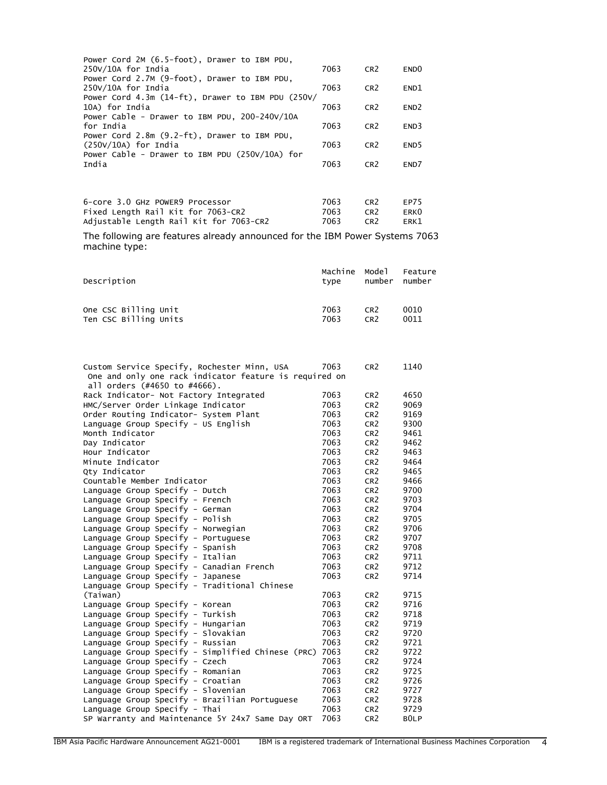| Power Cord 2M (6.5-foot), Drawer to IBM PDU,           |      |                 |                  |
|--------------------------------------------------------|------|-----------------|------------------|
| 250V/10A for India                                     | 7063 | CR <sub>2</sub> | END <sub>0</sub> |
| Power Cord 2.7M (9-foot), Drawer to IBM PDU,           |      |                 |                  |
| 250V/10A for India                                     | 7063 | CR <sub>2</sub> | END <sub>1</sub> |
| Power Cord 4.3m $(14-ft)$ , Drawer to IBM PDU $(250V/$ |      |                 |                  |
| 10A) for India                                         | 7063 | CR <sub>2</sub> | END <sub>2</sub> |
| Power Cable - Drawer to IBM PDU, 200-240V/10A          |      |                 |                  |
| for India                                              | 7063 | CR <sub>2</sub> | END3             |
| Power Cord 2.8m (9.2-ft), Drawer to IBM PDU.           |      |                 |                  |
| $(250V/10A)$ for India                                 | 7063 | CR <sub>2</sub> | END <sub>5</sub> |
| Power Cable - Drawer to IBM PDU (250V/10A) for         |      |                 |                  |
| India                                                  | 7063 | CR <sub>2</sub> | END7             |
|                                                        |      |                 |                  |
|                                                        |      |                 |                  |

| 6-core 3.0 GHz POWER9 Processor         | 7063 | CR <sub>2</sub> | FP75 |
|-----------------------------------------|------|-----------------|------|
| Fixed Length Rail Kit for 7063-CR2      | 7063 | CR <sub>2</sub> | ERK0 |
| Adjustable Length Rail Kit for 7063-CR2 | 7063 | CR <sub>2</sub> | ERK1 |

The following are features already announced for the IBM Power Systems 7063 machine type:

| Description           | Machine Model<br>tvpe | number          | Feature<br>number |
|-----------------------|-----------------------|-----------------|-------------------|
| One CSC Billing Unit  | 7063                  | CR <sub>2</sub> | 0010              |
| Ten CSC Billing Units | 7063                  | CR <sub>2</sub> | 0011              |

| Custom Service Specify, Rochester Minn, USA<br>One and only one rack indicator feature is required on | 7063 | CR <sub>2</sub> | 1140             |
|-------------------------------------------------------------------------------------------------------|------|-----------------|------------------|
| all orders (#4650 to #4666).                                                                          |      |                 |                  |
| Rack Indicator- Not Factory Integrated                                                                | 7063 | CR <sub>2</sub> | 4650             |
| HMC/Server Order Linkage Indicator                                                                    | 7063 | CR <sub>2</sub> | 9069             |
| Order Routing Indicator- System Plant                                                                 | 7063 | CR <sub>2</sub> | 9169             |
| Language Group Specify - US English                                                                   | 7063 | CR <sub>2</sub> | 9300             |
| Month Indicator                                                                                       | 7063 | CR <sub>2</sub> | 9461             |
| Day Indicator                                                                                         | 7063 | CR <sub>2</sub> | 9462             |
| Hour Indicator                                                                                        | 7063 | CR <sub>2</sub> | 9463             |
| Minute Indicator                                                                                      | 7063 | CR <sub>2</sub> | 9464             |
| Qty Indicator                                                                                         | 7063 | CR <sub>2</sub> | 9465             |
| Countable Member Indicator                                                                            | 7063 | CR <sub>2</sub> | 9466             |
| Language Group Specify - Dutch                                                                        | 7063 | CR <sub>2</sub> | 9700             |
| Language Group Specify - French                                                                       | 7063 | CR <sub>2</sub> | 9703             |
| Language Group Specify - German                                                                       | 7063 | CR <sub>2</sub> | 9704             |
| Language Group Specify - Polish                                                                       | 7063 | CR <sub>2</sub> | 9705             |
| Language Group Specify - Norwegian                                                                    | 7063 | CR <sub>2</sub> | 9706             |
| Language Group Specify - Portuguese                                                                   | 7063 | CR <sub>2</sub> | 9707             |
| Language Group Specify - Spanish                                                                      | 7063 | CR <sub>2</sub> | 9708             |
| Language Group Specify - Italian                                                                      | 7063 | CR <sub>2</sub> | 9711             |
| Language Group Specify - Canadian French                                                              | 7063 | CR <sub>2</sub> | 9712             |
| Language Group Specify - Japanese                                                                     | 7063 | CR <sub>2</sub> | 9714             |
| Language Group Specify - Traditional Chinese                                                          |      |                 |                  |
| (Taiwan)                                                                                              | 7063 | CR <sub>2</sub> | 9715             |
| Language Group Specify - Korean                                                                       | 7063 | CR <sub>2</sub> | 9716             |
| Language Group Specify - Turkish                                                                      | 7063 | CR <sub>2</sub> | 9718             |
| Language Group Specify - Hungarian                                                                    | 7063 | CR <sub>2</sub> | 9719             |
| Language Group Specify - Slovakian                                                                    | 7063 | CR <sub>2</sub> | 9720             |
| Language Group Specify - Russian                                                                      | 7063 | CR <sub>2</sub> | 9721             |
| Language Group Specify - Simplified Chinese (PRC)                                                     | 7063 | CR <sub>2</sub> | 9722             |
| Language Group Specify - Czech                                                                        | 7063 | CR <sub>2</sub> | 9724             |
| Language Group Specify - Romanian                                                                     | 7063 | CR <sub>2</sub> | 9725             |
| Language Group Specify - Croatian                                                                     | 7063 | CR <sub>2</sub> | 9726             |
| Language Group Specify - Slovenian                                                                    | 7063 | CR <sub>2</sub> | 9727             |
| Language Group Specify - Brazilian Portuguese                                                         | 7063 | CR <sub>2</sub> | 9728             |
| Language Group Specify - Thai                                                                         | 7063 | CR <sub>2</sub> | 9729             |
| SP Warranty and Maintenance 5Y 24x7 Same Day ORT                                                      | 7063 | CR <sub>2</sub> | B <sub>OLP</sub> |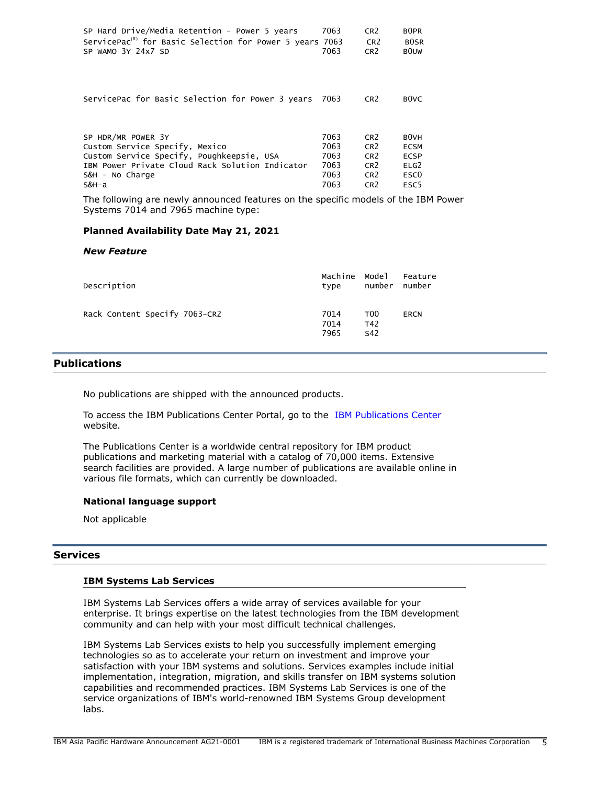| SP Hard Drive/Media Retention - Power 5 years<br>ServicePac <sup>(R)</sup> for Basic Selection for Power 5 years 7063<br>SP WAMO 3Y 24x7 SD                                      | 7063<br>7063                                 | CR <sub>2</sub><br>CR <sub>2</sub><br>CR <sub>2</sub>                                                          | B <sub>OPR</sub><br><b>BOSR</b><br><b>BOUW</b>                                                              |
|----------------------------------------------------------------------------------------------------------------------------------------------------------------------------------|----------------------------------------------|----------------------------------------------------------------------------------------------------------------|-------------------------------------------------------------------------------------------------------------|
| ServicePac for Basic Selection for Power 3 years 7063                                                                                                                            |                                              | CR <sub>2</sub>                                                                                                | B <sub>0</sub> VC                                                                                           |
| SP HDR/MR POWER 3Y<br>Custom Service Specify, Mexico<br>Custom Service Specify, Poughkeepsie, USA<br>IBM Power Private Cloud Rack Solution Indicator<br>S&H - No Charge<br>S&H-a | 7063<br>7063<br>7063<br>7063<br>7063<br>7063 | CR <sub>2</sub><br>CR <sub>2</sub><br>CR <sub>2</sub><br>CR <sub>2</sub><br>CR <sub>2</sub><br>CR <sub>2</sub> | B <sub>0</sub> VH<br><b>ECSM</b><br><b>ECSP</b><br>ELG <sub>2</sub><br>ESC <sub>0</sub><br>ESC <sub>5</sub> |

The following are newly announced features on the specific models of the IBM Power Systems 7014 and 7965 machine type:

### **Planned Availability Date May 21, 2021**

#### *New Feature*

| Description                   | Machine Model<br>type | number                        | Feature<br>number |
|-------------------------------|-----------------------|-------------------------------|-------------------|
| Rack Content Specify 7063-CR2 | 7014<br>7014<br>7965  | T <sub>00</sub><br>T42<br>S42 | ERCN              |

### <span id="page-4-0"></span>**Publications**

No publications are shipped with the announced products.

To access the IBM Publications Center Portal, go to the [IBM Publications Center](https://www.ibm.com/resources/publications) website.

The Publications Center is a worldwide central repository for IBM product publications and marketing material with a catalog of 70,000 items. Extensive search facilities are provided. A large number of publications are available online in various file formats, which can currently be downloaded.

#### **National language support**

Not applicable

# **Services**

#### **IBM Systems Lab Services**

IBM Systems Lab Services offers a wide array of services available for your enterprise. It brings expertise on the latest technologies from the IBM development community and can help with your most difficult technical challenges.

IBM Systems Lab Services exists to help you successfully implement emerging technologies so as to accelerate your return on investment and improve your satisfaction with your IBM systems and solutions. Services examples include initial implementation, integration, migration, and skills transfer on IBM systems solution capabilities and recommended practices. IBM Systems Lab Services is one of the service organizations of IBM's world-renowned IBM Systems Group development labs.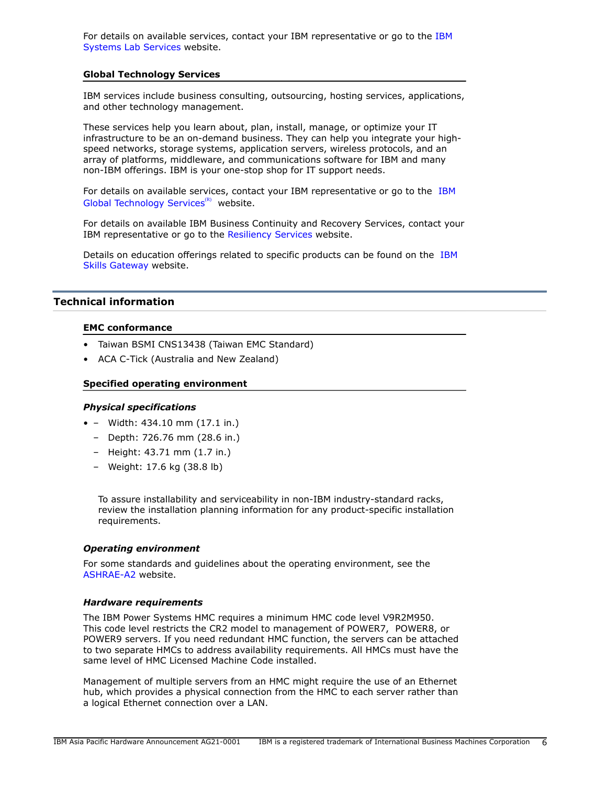For details on available services, contact your IBM representative or go to the [IBM](https://www.ibm.com/it-infrastructure/services/lab-services) [Systems Lab Services](https://www.ibm.com/it-infrastructure/services/lab-services) website.

#### **Global Technology Services**

IBM services include business consulting, outsourcing, hosting services, applications, and other technology management.

These services help you learn about, plan, install, manage, or optimize your IT infrastructure to be an on-demand business. They can help you integrate your highspeed networks, storage systems, application servers, wireless protocols, and an array of platforms, middleware, and communications software for IBM and many non-IBM offerings. IBM is your one-stop shop for IT support needs.

For details on available services, contact your IBM representative or go to the [IBM](http://www.ibm.com/services/) [Global Technology Services](http://www.ibm.com/services/) $(R)$  website.

For details on available IBM Business Continuity and Recovery Services, contact your IBM representative or go to the [Resiliency Services](http://www.ibm.com/services/continuity) website.

Details on education offerings related to specific products can be found on the [IBM](http://www.ibm.com/training) [Skills Gateway](http://www.ibm.com/training) website.

## <span id="page-5-0"></span>**Technical information**

### **EMC conformance**

- Taiwan BSMI CNS13438 (Taiwan EMC Standard)
- ACA C-Tick (Australia and New Zealand)

#### **Specified operating environment**

#### *Physical specifications*

- – Width: 434.10 mm (17.1 in.)
	- Depth: 726.76 mm (28.6 in.)
	- Height: 43.71 mm (1.7 in.)
	- Weight: 17.6 kg (38.8 lb)

To assure installability and serviceability in non-IBM industry-standard racks, review the installation planning information for any product-specific installation requirements.

#### *Operating environment*

For some standards and guidelines about the operating environment, see the [ASHRAE-A2](https://www.ashrae.org/standards-research--technology/standards--guidelines) website.

#### <span id="page-5-1"></span>*Hardware requirements*

The IBM Power Systems HMC requires a minimum HMC code level V9R2M950. This code level restricts the CR2 model to management of POWER7, POWER8, or POWER9 servers. If you need redundant HMC function, the servers can be attached to two separate HMCs to address availability requirements. All HMCs must have the same level of HMC Licensed Machine Code installed.

Management of multiple servers from an HMC might require the use of an Ethernet hub, which provides a physical connection from the HMC to each server rather than a logical Ethernet connection over a LAN.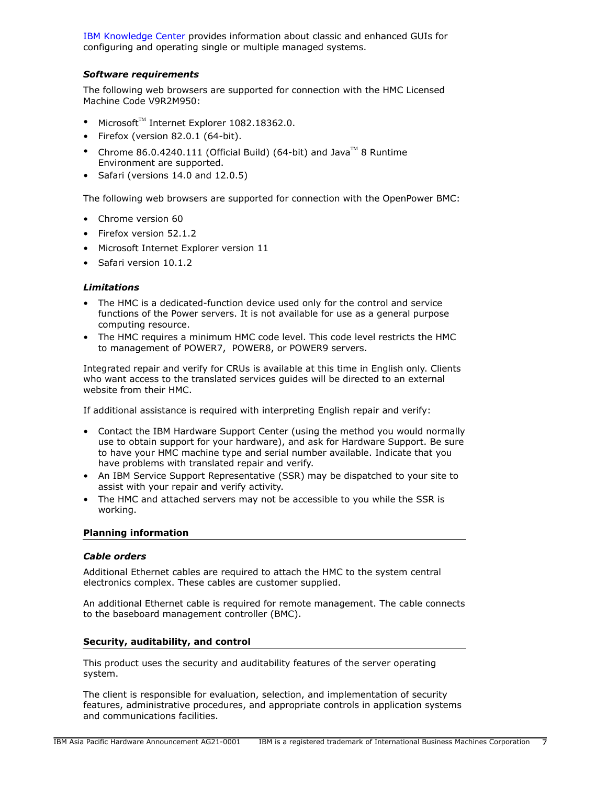[IBM Knowledge Center](https://www.ibm.com/support/knowledgecenter/POWER8/p8ha1/p8ha1_kickoff.htm) provides information about classic and enhanced GUIs for configuring and operating single or multiple managed systems.

# <span id="page-6-0"></span>*Software requirements*

The following web browsers are supported for connection with the HMC Licensed Machine Code V9R2M950:

- Microsoft $TM$  Internet Explorer 1082.18362.0.
- Firefox (version 82.0.1 (64-bit).
- Chrome 86.0.4240.111 (Official Build) (64-bit) and Java<sup>TM</sup> 8 Runtime Environment are supported.
- Safari (versions 14.0 and 12.0.5)

The following web browsers are supported for connection with the OpenPower BMC:

- Chrome version 60
- Firefox version 52.1.2
- Microsoft Internet Explorer version 11
- Safari version 10.1.2

#### *Limitations*

- The HMC is a dedicated-function device used only for the control and service functions of the Power servers. It is not available for use as a general purpose computing resource.
- The HMC requires a minimum HMC code level. This code level restricts the HMC to management of POWER7, POWER8, or POWER9 servers.

Integrated repair and verify for CRUs is available at this time in English only. Clients who want access to the translated services guides will be directed to an external website from their HMC.

If additional assistance is required with interpreting English repair and verify:

- Contact the IBM Hardware Support Center (using the method you would normally use to obtain support for your hardware), and ask for Hardware Support. Be sure to have your HMC machine type and serial number available. Indicate that you have problems with translated repair and verify.
- An IBM Service Support Representative (SSR) may be dispatched to your site to assist with your repair and verify activity.
- The HMC and attached servers may not be accessible to you while the SSR is working.

#### **Planning information**

#### *Cable orders*

Additional Ethernet cables are required to attach the HMC to the system central electronics complex. These cables are customer supplied.

An additional Ethernet cable is required for remote management. The cable connects to the baseboard management controller (BMC).

#### **Security, auditability, and control**

This product uses the security and auditability features of the server operating system.

The client is responsible for evaluation, selection, and implementation of security features, administrative procedures, and appropriate controls in application systems and communications facilities.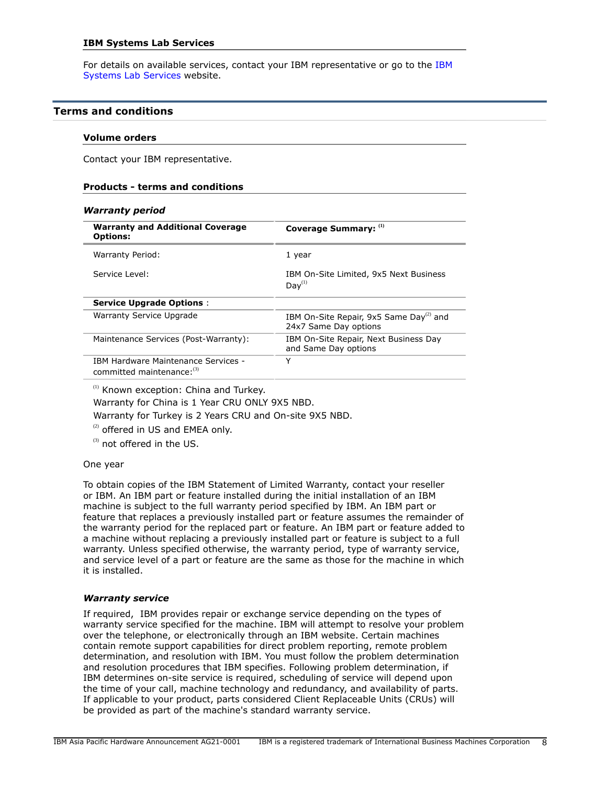For details on available services, contact your IBM representative or go to the [IBM](https://www.ibm.com/it-infrastructure/services/lab-services) [Systems Lab Services](https://www.ibm.com/it-infrastructure/services/lab-services) website.

#### <span id="page-7-0"></span>**Terms and conditions**

#### **Volume orders**

Contact your IBM representative.

#### **Products - terms and conditions**

#### *Warranty period*

| <b>Warranty and Additional Coverage</b><br><b>Options:</b>               | Coverage Summary: (1)                                                        |
|--------------------------------------------------------------------------|------------------------------------------------------------------------------|
| Warranty Period:                                                         | 1 year                                                                       |
| Service Level:                                                           | IBM On-Site Limited, 9x5 Next Business<br>$Dav^{(1)}$                        |
| <b>Service Upgrade Options:</b>                                          |                                                                              |
| <b>Warranty Service Upgrade</b>                                          | IBM On-Site Repair, 9x5 Same Day <sup>(2)</sup> and<br>24x7 Same Day options |
| Maintenance Services (Post-Warranty):                                    | IBM On-Site Repair, Next Business Day<br>and Same Day options                |
| <b>IBM Hardware Maintenance Services -</b><br>committed maintenance: (3) | Y                                                                            |

<sup>(1)</sup> Known exception: China and Turkey.

Warranty for China is 1 Year CRU ONLY 9X5 NBD.

Warranty for Turkey is 2 Years CRU and On-site 9X5 NBD.

 $(2)$  offered in US and EMEA only.

 $^{(3)}$  not offered in the US.

#### One year

To obtain copies of the IBM Statement of Limited Warranty, contact your reseller or IBM. An IBM part or feature installed during the initial installation of an IBM machine is subject to the full warranty period specified by IBM. An IBM part or feature that replaces a previously installed part or feature assumes the remainder of the warranty period for the replaced part or feature. An IBM part or feature added to a machine without replacing a previously installed part or feature is subject to a full warranty. Unless specified otherwise, the warranty period, type of warranty service, and service level of a part or feature are the same as those for the machine in which it is installed.

#### *Warranty service*

If required, IBM provides repair or exchange service depending on the types of warranty service specified for the machine. IBM will attempt to resolve your problem over the telephone, or electronically through an IBM website. Certain machines contain remote support capabilities for direct problem reporting, remote problem determination, and resolution with IBM. You must follow the problem determination and resolution procedures that IBM specifies. Following problem determination, if IBM determines on-site service is required, scheduling of service will depend upon the time of your call, machine technology and redundancy, and availability of parts. If applicable to your product, parts considered Client Replaceable Units (CRUs) will be provided as part of the machine's standard warranty service.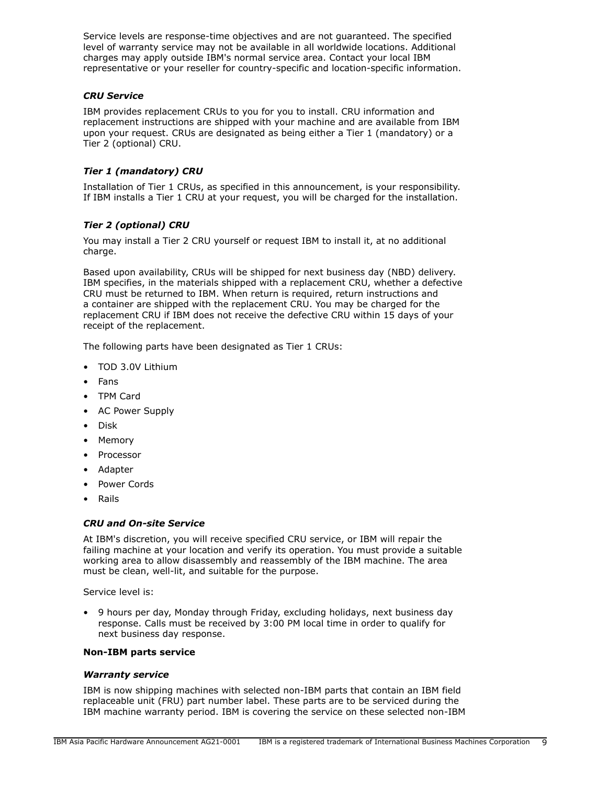Service levels are response-time objectives and are not guaranteed. The specified level of warranty service may not be available in all worldwide locations. Additional charges may apply outside IBM's normal service area. Contact your local IBM representative or your reseller for country-specific and location-specific information.

# *CRU Service*

IBM provides replacement CRUs to you for you to install. CRU information and replacement instructions are shipped with your machine and are available from IBM upon your request. CRUs are designated as being either a Tier 1 (mandatory) or a Tier 2 (optional) CRU.

# *Tier 1 (mandatory) CRU*

Installation of Tier 1 CRUs, as specified in this announcement, is your responsibility. If IBM installs a Tier 1 CRU at your request, you will be charged for the installation.

# *Tier 2 (optional) CRU*

You may install a Tier 2 CRU yourself or request IBM to install it, at no additional charge.

Based upon availability, CRUs will be shipped for next business day (NBD) delivery. IBM specifies, in the materials shipped with a replacement CRU, whether a defective CRU must be returned to IBM. When return is required, return instructions and a container are shipped with the replacement CRU. You may be charged for the replacement CRU if IBM does not receive the defective CRU within 15 days of your receipt of the replacement.

The following parts have been designated as Tier 1 CRUs:

- TOD 3.0V Lithium
- Fans
- TPM Card
- AC Power Supply
- Disk
- Memory
- Processor
- Adapter
- Power Cords
- Rails

#### *CRU and On-site Service*

At IBM's discretion, you will receive specified CRU service, or IBM will repair the failing machine at your location and verify its operation. You must provide a suitable working area to allow disassembly and reassembly of the IBM machine. The area must be clean, well-lit, and suitable for the purpose.

Service level is:

• 9 hours per day, Monday through Friday, excluding holidays, next business day response. Calls must be received by 3:00 PM local time in order to qualify for next business day response.

#### **Non-IBM parts service**

#### *Warranty service*

IBM is now shipping machines with selected non-IBM parts that contain an IBM field replaceable unit (FRU) part number label. These parts are to be serviced during the IBM machine warranty period. IBM is covering the service on these selected non-IBM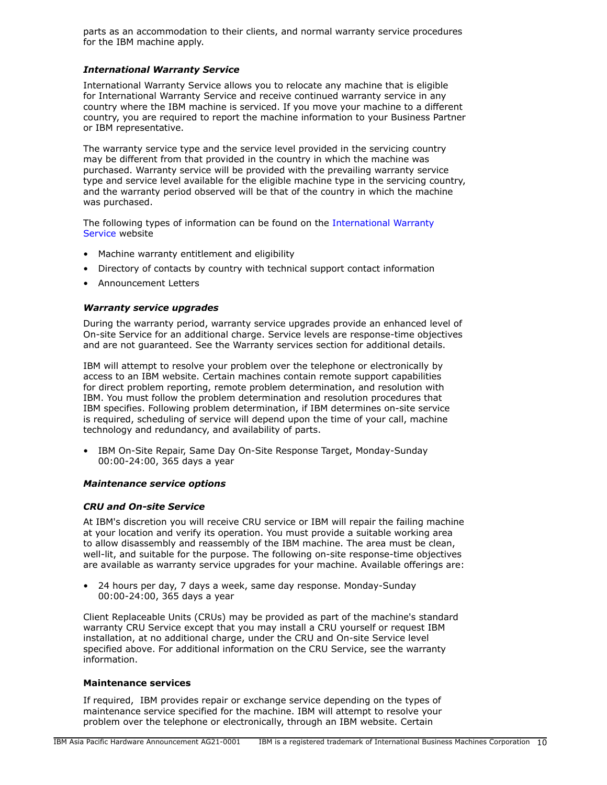parts as an accommodation to their clients, and normal warranty service procedures for the IBM machine apply.

### *International Warranty Service*

International Warranty Service allows you to relocate any machine that is eligible for International Warranty Service and receive continued warranty service in any country where the IBM machine is serviced. If you move your machine to a different country, you are required to report the machine information to your Business Partner or IBM representative.

The warranty service type and the service level provided in the servicing country may be different from that provided in the country in which the machine was purchased. Warranty service will be provided with the prevailing warranty service type and service level available for the eligible machine type in the servicing country, and the warranty period observed will be that of the country in which the machine was purchased.

The following types of information can be found on the [International Warranty](https://www.ibm.com/systems/support/machine_warranties/iws.html) [Service](https://www.ibm.com/systems/support/machine_warranties/iws.html) website

- Machine warranty entitlement and eligibility
- Directory of contacts by country with technical support contact information
- Announcement Letters

## *Warranty service upgrades*

During the warranty period, warranty service upgrades provide an enhanced level of On-site Service for an additional charge. Service levels are response-time objectives and are not guaranteed. See the Warranty services section for additional details.

IBM will attempt to resolve your problem over the telephone or electronically by access to an IBM website. Certain machines contain remote support capabilities for direct problem reporting, remote problem determination, and resolution with IBM. You must follow the problem determination and resolution procedures that IBM specifies. Following problem determination, if IBM determines on-site service is required, scheduling of service will depend upon the time of your call, machine technology and redundancy, and availability of parts.

• IBM On-Site Repair, Same Day On-Site Response Target, Monday-Sunday 00:00-24:00, 365 days a year

#### *Maintenance service options*

#### *CRU and On-site Service*

At IBM's discretion you will receive CRU service or IBM will repair the failing machine at your location and verify its operation. You must provide a suitable working area to allow disassembly and reassembly of the IBM machine. The area must be clean, well-lit, and suitable for the purpose. The following on-site response-time objectives are available as warranty service upgrades for your machine. Available offerings are:

• 24 hours per day, 7 days a week, same day response. Monday-Sunday 00:00-24:00, 365 days a year

Client Replaceable Units (CRUs) may be provided as part of the machine's standard warranty CRU Service except that you may install a CRU yourself or request IBM installation, at no additional charge, under the CRU and On-site Service level specified above. For additional information on the CRU Service, see the warranty information.

#### **Maintenance services**

If required, IBM provides repair or exchange service depending on the types of maintenance service specified for the machine. IBM will attempt to resolve your problem over the telephone or electronically, through an IBM website. Certain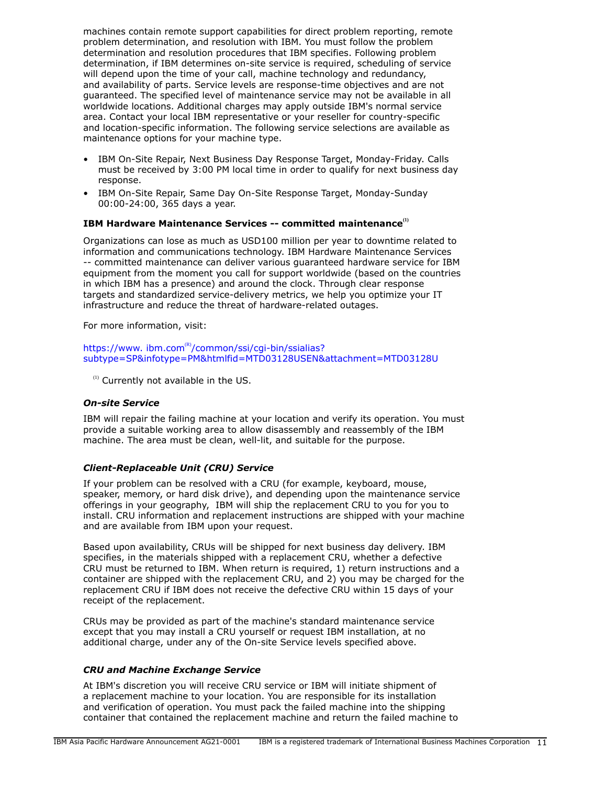machines contain remote support capabilities for direct problem reporting, remote problem determination, and resolution with IBM. You must follow the problem determination and resolution procedures that IBM specifies. Following problem determination, if IBM determines on-site service is required, scheduling of service will depend upon the time of your call, machine technology and redundancy, and availability of parts. Service levels are response-time objectives and are not guaranteed. The specified level of maintenance service may not be available in all worldwide locations. Additional charges may apply outside IBM's normal service area. Contact your local IBM representative or your reseller for country-specific and location-specific information. The following service selections are available as maintenance options for your machine type.

- IBM On-Site Repair, Next Business Day Response Target, Monday-Friday. Calls must be received by 3:00 PM local time in order to qualify for next business day response.
- IBM On-Site Repair, Same Day On-Site Response Target, Monday-Sunday 00:00-24:00, 365 days a year.

# **IBM Hardware Maintenance Services -- committed maintenance(1)**

Organizations can lose as much as USD100 million per year to downtime related to information and communications technology. IBM Hardware Maintenance Services -- committed maintenance can deliver various guaranteed hardware service for IBM equipment from the moment you call for support worldwide (based on the countries in which IBM has a presence) and around the clock. Through clear response targets and standardized service-delivery metrics, we help you optimize your IT infrastructure and reduce the threat of hardware-related outages.

For more information, visit:

#### https://www.ibm.com $R$ <sup>2</sup>/common/ssi/cqi-bin/ssialias? [subtype=SP&infotype=PM&htmlfid=MTD03128USEN&attachment=MTD03128U](https://www.ibm.com/common/ssi/cgi-bin/ssialias?subtype=SP&infotype=PM&htmlfid=MTD03128USEN&attachment=MTD03128U)

 $<sup>(1)</sup>$  Currently not available in the US.</sup>

#### *On-site Service*

IBM will repair the failing machine at your location and verify its operation. You must provide a suitable working area to allow disassembly and reassembly of the IBM machine. The area must be clean, well-lit, and suitable for the purpose.

#### *Client-Replaceable Unit (CRU) Service*

If your problem can be resolved with a CRU (for example, keyboard, mouse, speaker, memory, or hard disk drive), and depending upon the maintenance service offerings in your geography, IBM will ship the replacement CRU to you for you to install. CRU information and replacement instructions are shipped with your machine and are available from IBM upon your request.

Based upon availability, CRUs will be shipped for next business day delivery. IBM specifies, in the materials shipped with a replacement CRU, whether a defective CRU must be returned to IBM. When return is required, 1) return instructions and a container are shipped with the replacement CRU, and 2) you may be charged for the replacement CRU if IBM does not receive the defective CRU within 15 days of your receipt of the replacement.

CRUs may be provided as part of the machine's standard maintenance service except that you may install a CRU yourself or request IBM installation, at no additional charge, under any of the On-site Service levels specified above.

## *CRU and Machine Exchange Service*

At IBM's discretion you will receive CRU service or IBM will initiate shipment of a replacement machine to your location. You are responsible for its installation and verification of operation. You must pack the failed machine into the shipping container that contained the replacement machine and return the failed machine to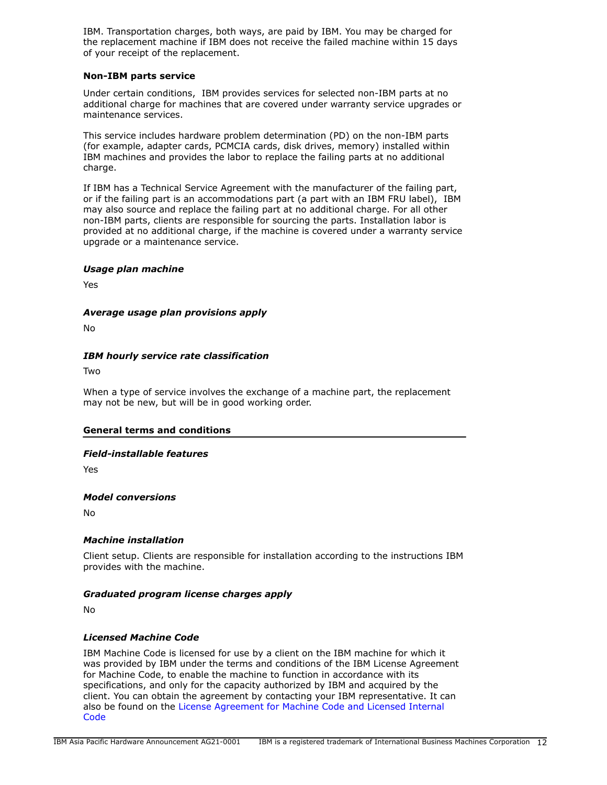IBM. Transportation charges, both ways, are paid by IBM. You may be charged for the replacement machine if IBM does not receive the failed machine within 15 days of your receipt of the replacement.

## **Non-IBM parts service**

Under certain conditions, IBM provides services for selected non-IBM parts at no additional charge for machines that are covered under warranty service upgrades or maintenance services.

This service includes hardware problem determination (PD) on the non-IBM parts (for example, adapter cards, PCMCIA cards, disk drives, memory) installed within IBM machines and provides the labor to replace the failing parts at no additional charge.

If IBM has a Technical Service Agreement with the manufacturer of the failing part, or if the failing part is an accommodations part (a part with an IBM FRU label), IBM may also source and replace the failing part at no additional charge. For all other non-IBM parts, clients are responsible for sourcing the parts. Installation labor is provided at no additional charge, if the machine is covered under a warranty service upgrade or a maintenance service.

#### *Usage plan machine*

Yes

## *Average usage plan provisions apply*

No

#### *IBM hourly service rate classification*

Two

When a type of service involves the exchange of a machine part, the replacement may not be new, but will be in good working order.

#### **General terms and conditions**

#### *Field-installable features*

Yes

#### *Model conversions*

No

#### *Machine installation*

Client setup. Clients are responsible for installation according to the instructions IBM provides with the machine.

#### *Graduated program license charges apply*

No

#### *Licensed Machine Code*

IBM Machine Code is licensed for use by a client on the IBM machine for which it was provided by IBM under the terms and conditions of the IBM License Agreement for Machine Code, to enable the machine to function in accordance with its specifications, and only for the capacity authorized by IBM and acquired by the client. You can obtain the agreement by contacting your IBM representative. It can also be found on the [License Agreement for Machine Code and Licensed Internal](http://www.ibm.com/systems/support/machine_warranties/machine_code.html) **[Code](http://www.ibm.com/systems/support/machine_warranties/machine_code.html)**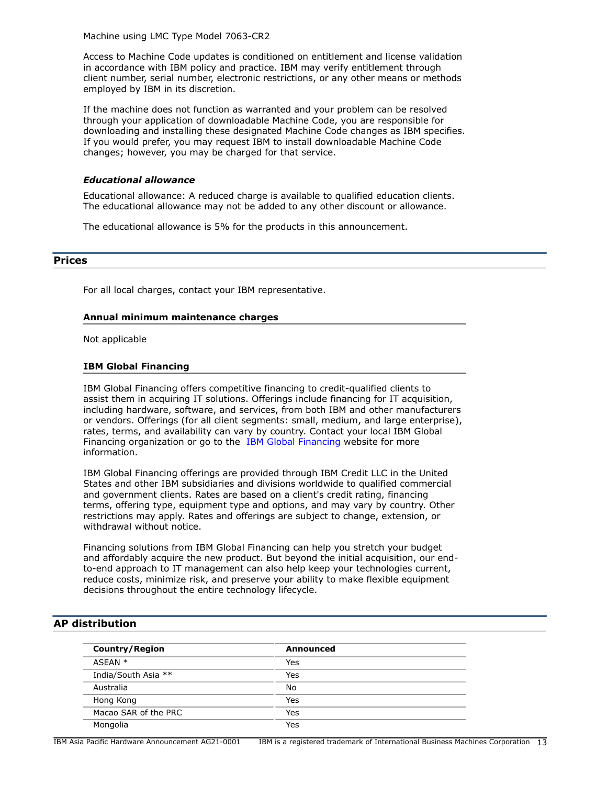Machine using LMC Type Model 7063-CR2

Access to Machine Code updates is conditioned on entitlement and license validation in accordance with IBM policy and practice. IBM may verify entitlement through client number, serial number, electronic restrictions, or any other means or methods employed by IBM in its discretion.

If the machine does not function as warranted and your problem can be resolved through your application of downloadable Machine Code, you are responsible for downloading and installing these designated Machine Code changes as IBM specifies. If you would prefer, you may request IBM to install downloadable Machine Code changes; however, you may be charged for that service.

## *Educational allowance*

Educational allowance: A reduced charge is available to qualified education clients. The educational allowance may not be added to any other discount or allowance.

The educational allowance is 5% for the products in this announcement.

#### <span id="page-12-0"></span>**Prices**

For all local charges, contact your IBM representative.

#### **Annual minimum maintenance charges**

Not applicable

#### **IBM Global Financing**

IBM Global Financing offers competitive financing to credit-qualified clients to assist them in acquiring IT solutions. Offerings include financing for IT acquisition, including hardware, software, and services, from both IBM and other manufacturers or vendors. Offerings (for all client segments: small, medium, and large enterprise), rates, terms, and availability can vary by country. Contact your local IBM Global Financing organization or go to the [IBM Global Financing](http://www.ibm.com/financing) website for more information.

IBM Global Financing offerings are provided through IBM Credit LLC in the United States and other IBM subsidiaries and divisions worldwide to qualified commercial and government clients. Rates are based on a client's credit rating, financing terms, offering type, equipment type and options, and may vary by country. Other restrictions may apply. Rates and offerings are subject to change, extension, or withdrawal without notice.

Financing solutions from IBM Global Financing can help you stretch your budget and affordably acquire the new product. But beyond the initial acquisition, our endto-end approach to IT management can also help keep your technologies current, reduce costs, minimize risk, and preserve your ability to make flexible equipment decisions throughout the entire technology lifecycle.

## <span id="page-12-1"></span>**AP distribution**

| <b>Country/Region</b> | Announced |
|-----------------------|-----------|
| $ASTAN *$             | Yes       |
| India/South Asia **   | Yes       |
| Australia             | No        |
| Hong Kong             | Yes       |
| Macao SAR of the PRC  | Yes       |
| Mongolia              | Yes       |